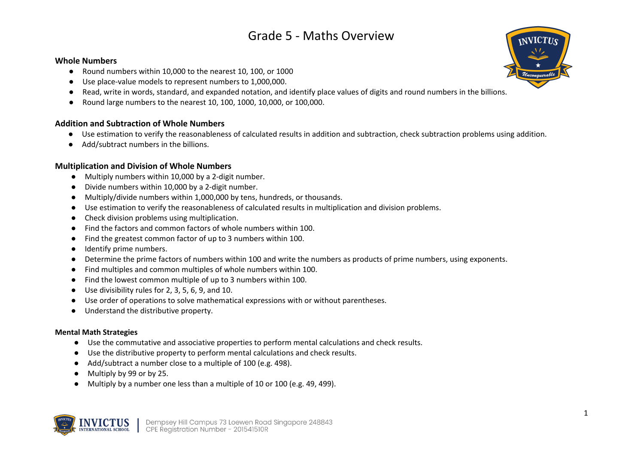#### **Whole Numbers**

- Round numbers within 10,000 to the nearest 10, 100, or 1000
- Use place-value models to represent numbers to 1,000,000.
- Read, write in words, standard, and expanded notation, and identify place values of digits and round numbers in the billions.
- Round large numbers to the nearest 10, 100, 1000, 10,000, or 100,000.

## **Addition and Subtraction of Whole Numbers**

- Use estimation to verify the reasonableness of calculated results in addition and subtraction, check subtraction problems using addition.
- Add/subtract numbers in the billions.

### **Multiplication and Division of Whole Numbers**

- Multiply numbers within 10,000 by a 2-digit number.
- Divide numbers within 10,000 by a 2-digit number.
- Multiply/divide numbers within 1,000,000 by tens, hundreds, or thousands.
- Use estimation to verify the reasonableness of calculated results in multiplication and division problems.
- Check division problems using multiplication.
- Find the factors and common factors of whole numbers within 100.
- Find the greatest common factor of up to 3 numbers within 100.
- Identify prime numbers.
- Determine the prime factors of numbers within 100 and write the numbers as products of prime numbers, using exponents.
- Find multiples and common multiples of whole numbers within 100.
- Find the lowest common multiple of up to 3 numbers within 100.
- Use divisibility rules for 2, 3, 5, 6, 9, and 10.
- Use order of operations to solve mathematical expressions with or without parentheses.
- Understand the distributive property.

#### **Mental Math Strategies**

- Use the commutative and associative properties to perform mental calculations and check results.
- Use the distributive property to perform mental calculations and check results.
- Add/subtract a number close to a multiple of 100 (e.g. 498).
- Multiply by 99 or by 25.
- Multiply by a number one less than a multiple of 10 or 100 (e.g. 49, 499).



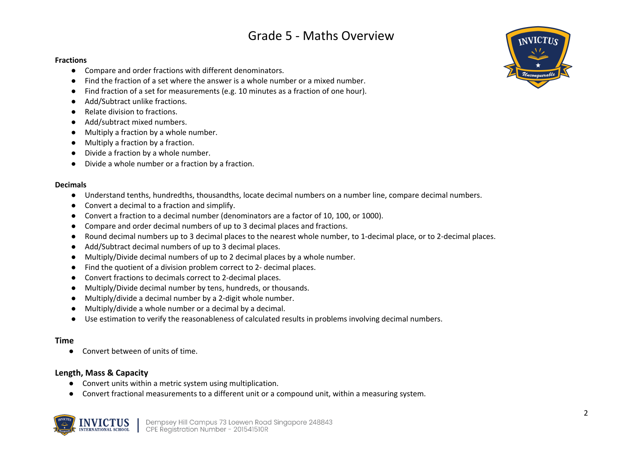#### **Fractions**

- Compare and order fractions with different denominators.
- Find the fraction of a set where the answer is a whole number or a mixed number.
- Find fraction of a set for measurements (e.g. 10 minutes as a fraction of one hour).
- Add/Subtract unlike fractions.
- Relate division to fractions.
- Add/subtract mixed numbers.
- Multiply a fraction by a whole number.
- Multiply a fraction by a fraction.
- Divide a fraction by a whole number.
- Divide a whole number or a fraction by a fraction.

#### **Decimals**

- Understand tenths, hundredths, thousandths, locate decimal numbers on a number line, compare decimal numbers.
- Convert a decimal to a fraction and simplify.
- Convert a fraction to a decimal number (denominators are a factor of 10, 100, or 1000).
- Compare and order decimal numbers of up to 3 decimal places and fractions.
- Round decimal numbers up to 3 decimal places to the nearest whole number, to 1-decimal place, or to 2-decimal places.
- Add/Subtract decimal numbers of up to 3 decimal places.
- Multiply/Divide decimal numbers of up to 2 decimal places by a whole number.
- Find the quotient of a division problem correct to 2- decimal places.
- Convert fractions to decimals correct to 2-decimal places.
- Multiply/Divide decimal number by tens, hundreds, or thousands.
- Multiply/divide a decimal number by a 2-digit whole number.
- Multiply/divide a whole number or a decimal by a decimal.
- Use estimation to verify the reasonableness of calculated results in problems involving decimal numbers.

### **Time**

● Convert between of units of time.

### **Length, Mass & Capacity**

- Convert units within a metric system using multiplication.
- Convert fractional measurements to a different unit or a compound unit, within a measuring system.



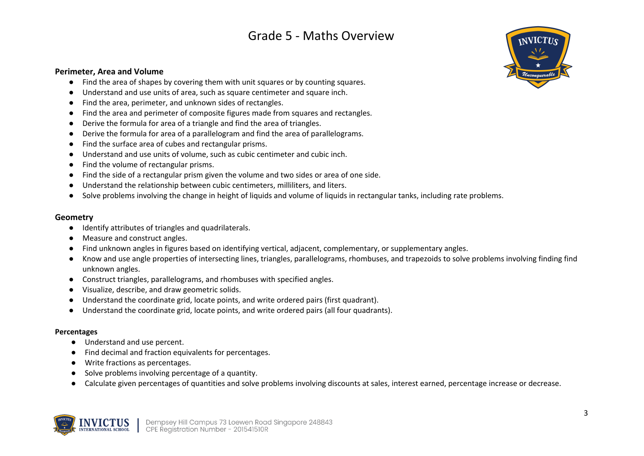#### **Perimeter, Area and Volume**

- Find the area of shapes by covering them with unit squares or by counting squares.
- Understand and use units of area, such as square centimeter and square inch.
- Find the area, perimeter, and unknown sides of rectangles.
- Find the area and perimeter of composite figures made from squares and rectangles.
- Derive the formula for area of a triangle and find the area of triangles.
- Derive the formula for area of a parallelogram and find the area of parallelograms.
- Find the surface area of cubes and rectangular prisms.
- Understand and use units of volume, such as cubic centimeter and cubic inch.
- Find the volume of rectangular prisms.
- Find the side of a rectangular prism given the volume and two sides or area of one side.
- Understand the relationship between cubic centimeters, milliliters, and liters.
- Solve problems involving the change in height of liquids and volume of liquids in rectangular tanks, including rate problems.

#### **Geometry**

- Identify attributes of triangles and quadrilaterals.
- Measure and construct angles.
- Find unknown angles in figures based on identifying vertical, adjacent, complementary, or supplementary angles.
- Know and use angle properties of intersecting lines, triangles, parallelograms, rhombuses, and trapezoids to solve problems involving finding find unknown angles.
- Construct triangles, parallelograms, and rhombuses with specified angles.
- Visualize, describe, and draw geometric solids.
- Understand the coordinate grid, locate points, and write ordered pairs (first quadrant).
- Understand the coordinate grid, locate points, and write ordered pairs (all four quadrants).

#### **Percentages**

- Understand and use percent.
- Find decimal and fraction equivalents for percentages.
- Write fractions as percentages.
- Solve problems involving percentage of a quantity.
- Calculate given percentages of quantities and solve problems involving discounts at sales, interest earned, percentage increase or decrease.